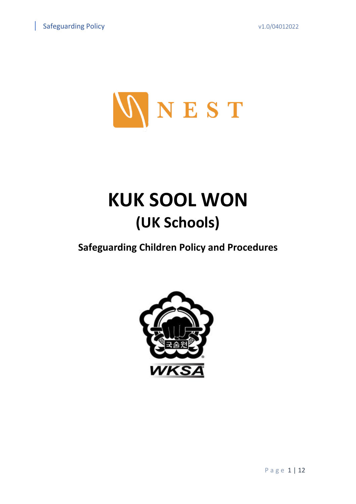

# **KUK SOOL WON (UK Schools)**

**Safeguarding Children Policy and Procedures**

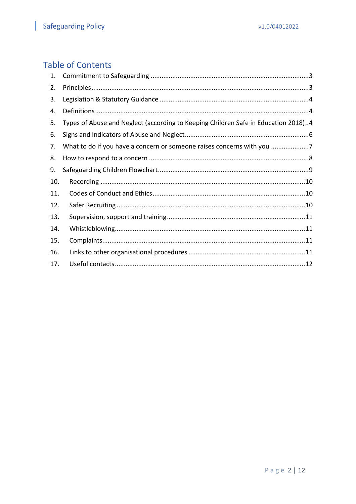## **Table of Contents**

| 1.  |                                                                                    |
|-----|------------------------------------------------------------------------------------|
| 2.  |                                                                                    |
| 3.  |                                                                                    |
| 4.  |                                                                                    |
| 5.  | Types of Abuse and Neglect (according to Keeping Children Safe in Education 2018)4 |
| 6.  |                                                                                    |
| 7.  | What to do if you have a concern or someone raises concerns with you               |
| 8.  |                                                                                    |
| 9.  |                                                                                    |
| 10. |                                                                                    |
| 11. |                                                                                    |
| 12. |                                                                                    |
| 13. |                                                                                    |
| 14. |                                                                                    |
| 15. |                                                                                    |
| 16. |                                                                                    |
| 17. |                                                                                    |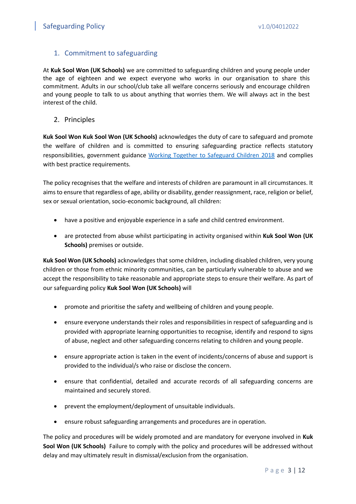## <span id="page-2-0"></span>1. Commitment to safeguarding

At **Kuk Sool Won (UK Schools)** we are committed to safeguarding children and young people under the age of eighteen and we expect everyone who works in our organisation to share this commitment. Adults in our school/club take all welfare concerns seriously and encourage children and young people to talk to us about anything that worries them. We will always act in the best interest of the child.

<span id="page-2-1"></span>2. Principles

**Kuk Sool Won Kuk Sool Won (UK Schools)** acknowledges the duty of care to safeguard and promote the welfare of children and is committed to ensuring safeguarding practice reflects statutory responsibilities, government guidance [Working Together to Safeguard Children 2018](file:///C:/Users/simonsnell/Library/Mobile%20Documents/com~apple~CloudDocs/Nest%20Management/Working_Together_to_Safeguard_Children-2018.pdf) and complies with best practice requirements.

The policy recognises that the welfare and interests of children are paramount in all circumstances. It aims to ensure that regardless of age, ability or disability, gender reassignment, race, religion or belief, sex or sexual orientation, socio-economic background, all children:

- have a positive and enjoyable experience in a safe and child centred environment.
- are protected from abuse whilst participating in activity organised within **Kuk Sool Won (UK Schools)** premises or outside.

**Kuk Sool Won (UK Schools)** acknowledges that some children, including disabled children, very young children or those from ethnic minority communities, can be particularly vulnerable to abuse and we accept the responsibility to take reasonable and appropriate steps to ensure their welfare. As part of our safeguarding policy **Kuk Sool Won (UK Schools)** will

- promote and prioritise the safety and wellbeing of children and young people.
- ensure everyone understands their roles and responsibilities in respect of safeguarding and is provided with appropriate learning opportunities to recognise, identify and respond to signs of abuse, neglect and other safeguarding concerns relating to children and young people.
- ensure appropriate action is taken in the event of incidents/concerns of abuse and support is provided to the individual/s who raise or disclose the concern.
- ensure that confidential, detailed and accurate records of all safeguarding concerns are maintained and securely stored.
- prevent the employment/deployment of unsuitable individuals.
- ensure robust safeguarding arrangements and procedures are in operation.

The policy and procedures will be widely promoted and are mandatory for everyone involved in **Kuk Sool Won (UK Schools)** Failure to comply with the policy and procedures will be addressed without delay and may ultimately result in dismissal/exclusion from the organisation.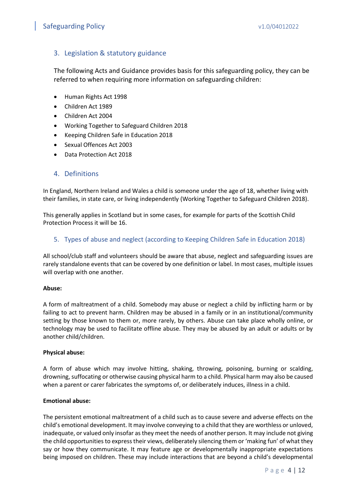## <span id="page-3-0"></span>3. Legislation & statutory guidance

The following Acts and Guidance provides basis for this safeguarding policy, they can be referred to when requiring more information on safeguarding children:

- Human Rights Act 1998
- Children Act 1989
- Children Act 2004
- Working Together to Safeguard Children 2018
- Keeping Children Safe in Education 2018
- Sexual Offences Act 2003
- Data Protection Act 2018

#### <span id="page-3-1"></span>4. Definitions

In England, Northern Ireland and Wales a child is someone under the age of 18, whether living with their families, in state care, or living independently (Working Together to Safeguard Children 2018).

This generally applies in Scotland but in some cases, for example for parts of the Scottish Child Protection Process it will be 16.

#### <span id="page-3-2"></span>5. Types of abuse and neglect (according to Keeping Children Safe in Education 2018)

All school/club staff and volunteers should be aware that abuse, neglect and safeguarding issues are rarely standalone events that can be covered by one definition or label. In most cases, multiple issues will overlap with one another.

#### **Abuse:**

A form of maltreatment of a child. Somebody may abuse or neglect a child by inflicting harm or by failing to act to prevent harm. Children may be abused in a family or in an institutional/community setting by those known to them or, more rarely, by others. Abuse can take place wholly online, or technology may be used to facilitate offline abuse. They may be abused by an adult or adults or by another child/children.

#### **Physical abuse:**

A form of abuse which may involve hitting, shaking, throwing, poisoning, burning or scalding, drowning, suffocating or otherwise causing physical harm to a child. Physical harm may also be caused when a parent or carer fabricates the symptoms of, or deliberately induces, illness in a child.

#### **Emotional abuse:**

The persistent emotional maltreatment of a child such as to cause severe and adverse effects on the child's emotional development. It may involve conveying to a child that they are worthless or unloved, inadequate, or valued only insofar as they meet the needs of another person. It may include not giving the child opportunities to express their views, deliberately silencing them or 'making fun' of what they say or how they communicate. It may feature age or developmentally inappropriate expectations being imposed on children. These may include interactions that are beyond a child's developmental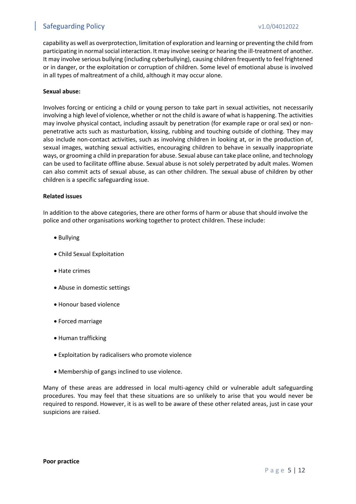## Safeguarding Policy values of the contract of the values of the values of the values of the values of the values of the values of the values of the values of the values of the values of the values of the values of the valu

capability as well as overprotection, limitation of exploration and learning or preventing the child from participating in normal social interaction. It may involve seeing or hearing the ill-treatment of another. It may involve serious bullying (including cyberbullying), causing children frequently to feel frightened or in danger, or the exploitation or corruption of children. Some level of emotional abuse is involved in all types of maltreatment of a child, although it may occur alone.

#### **Sexual abuse:**

Involves forcing or enticing a child or young person to take part in sexual activities, not necessarily involving a high level of violence, whether or not the child is aware of what is happening. The activities may involve physical contact, including assault by penetration (for example rape or oral sex) or nonpenetrative acts such as masturbation, kissing, rubbing and touching outside of clothing. They may also include non-contact activities, such as involving children in looking at, or in the production of, sexual images, watching sexual activities, encouraging children to behave in sexually inappropriate ways, or grooming a child in preparation for abuse. Sexual abuse can take place online, and technology can be used to facilitate offline abuse. Sexual abuse is not solely perpetrated by adult males. Women can also commit acts of sexual abuse, as can other children. The sexual abuse of children by other children is a specific safeguarding issue.

#### **Related issues**

In addition to the above categories, there are other forms of harm or abuse that should involve the police and other organisations working together to protect children. These include:

- Bullying
- Child Sexual Exploitation
- Hate crimes
- Abuse in domestic settings
- Honour based violence
- Forced marriage
- Human trafficking
- Exploitation by radicalisers who promote violence
- Membership of gangs inclined to use violence.

Many of these areas are addressed in local multi-agency child or vulnerable adult safeguarding procedures. You may feel that these situations are so unlikely to arise that you would never be required to respond. However, it is as well to be aware of these other related areas, just in case your suspicions are raised.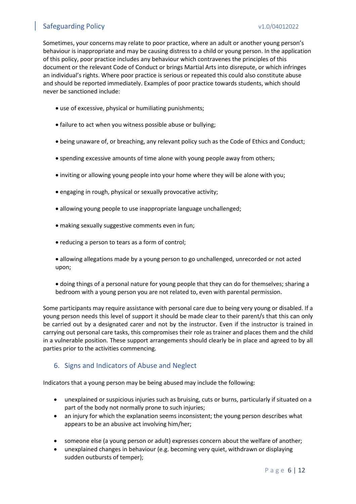## Safeguarding Policy and Communication of the V1.0/04012022

Sometimes, your concerns may relate to poor practice, where an adult or another young person's behaviour is inappropriate and may be causing distress to a child or young person. In the application of this policy, poor practice includes any behaviour which contravenes the principles of this document or the relevant Code of Conduct or brings Martial Arts into disrepute, or which infringes an individual's rights. Where poor practice is serious or repeated this could also constitute abuse and should be reported immediately. Examples of poor practice towards students, which should never be sanctioned include:

- use of excessive, physical or humiliating punishments;
- failure to act when you witness possible abuse or bullying;
- being unaware of, or breaching, any relevant policy such as the Code of Ethics and Conduct;
- spending excessive amounts of time alone with young people away from others;
- inviting or allowing young people into your home where they will be alone with you;
- engaging in rough, physical or sexually provocative activity;
- allowing young people to use inappropriate language unchallenged;
- making sexually suggestive comments even in fun;
- reducing a person to tears as a form of control;
- allowing allegations made by a young person to go unchallenged, unrecorded or not acted upon;
- doing things of a personal nature for young people that they can do for themselves; sharing a bedroom with a young person you are not related to, even with parental permission.

Some participants may require assistance with personal care due to being very young or disabled. If a young person needs this level of support it should be made clear to their parent/s that this can only be carried out by a designated carer and not by the instructor. Even if the instructor is trained in carrying out personal care tasks, this compromises their role as trainer and places them and the child in a vulnerable position. These support arrangements should clearly be in place and agreed to by all parties prior to the activities commencing.

## <span id="page-5-0"></span>6. Signs and Indicators of Abuse and Neglect

Indicators that a young person may be being abused may include the following:

- unexplained or suspicious injuries such as bruising, cuts or burns, particularly if situated on a part of the body not normally prone to such injuries;
- an injury for which the explanation seems inconsistent; the young person describes what appears to be an abusive act involving him/her;
- someone else (a young person or adult) expresses concern about the welfare of another;
- unexplained changes in behaviour (e.g. becoming very quiet, withdrawn or displaying sudden outbursts of temper);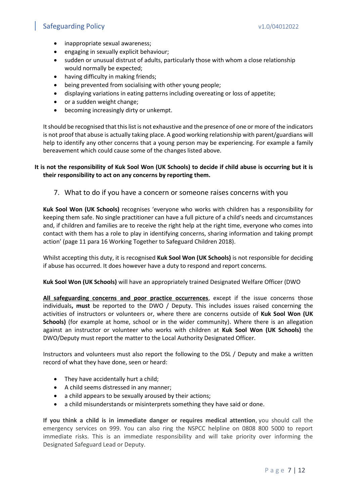## Safeguarding Policy values of the contract of the values of the values of the values of the values of the values of  $\alpha$

- inappropriate sexual awareness;
- engaging in sexually explicit behaviour;
- sudden or unusual distrust of adults, particularly those with whom a close relationship would normally be expected;
- having difficulty in making friends;
- being prevented from socialising with other young people;
- displaying variations in eating patterns including overeating or loss of appetite;
- or a sudden weight change;
- becoming increasingly dirty or unkempt.

It should be recognised that this list is not exhaustive and the presence of one or more of the indicators is not proof that abuse is actually taking place. A good working relationship with parent/guardians will help to identify any other concerns that a young person may be experiencing. For example a family bereavement which could cause some of the changes listed above.

#### **It is not the responsibility of Kuk Sool Won (UK Schools) to decide if child abuse is occurring but it is their responsibility to act on any concerns by reporting them.**

<span id="page-6-0"></span>7. What to do if you have a concern or someone raises concerns with you

**Kuk Sool Won (UK Schools)** recognises 'everyone who works with children has a responsibility for keeping them safe. No single practitioner can have a full picture of a child's needs and circumstances and, if children and families are to receive the right help at the right time, everyone who comes into contact with them has a role to play in identifying concerns, sharing information and taking prompt action' (page 11 para 16 Working Together to Safeguard Children 2018).

Whilst accepting this duty, it is recognised **Kuk Sool Won (UK Schools)** is not responsible for deciding if abuse has occurred. It does however have a duty to respond and report concerns.

## **Kuk Sool Won (UK Schools)** will have an appropriately trained Designated Welfare Officer (DWO

**All safeguarding concerns and poor practice occurrences**, except if the issue concerns those individuals**, must** be reported to the DWO / Deputy. This includes issues raised concerning the activities of instructors or volunteers or, where there are concerns outside of **Kuk Sool Won (UK Schools)** (for example at home, school or in the wider community). Where there is an allegation against an instructor or volunteer who works with children at **Kuk Sool Won (UK Schools)** the DWO/Deputy must report the matter to the Local Authority Designated Officer.

Instructors and volunteers must also report the following to the DSL / Deputy and make a written record of what they have done, seen or heard:

- They have accidentally hurt a child;
- A child seems distressed in any manner;
- a child appears to be sexually aroused by their actions;
- a child misunderstands or misinterprets something they have said or done.

**If you think a child is in immediate danger or requires medical attention**, you should call the emergency services on 999. You can also ring the NSPCC helpline on 0808 800 5000 to report immediate risks. This is an immediate responsibility and will take priority over informing the Designated Safeguard Lead or Deputy.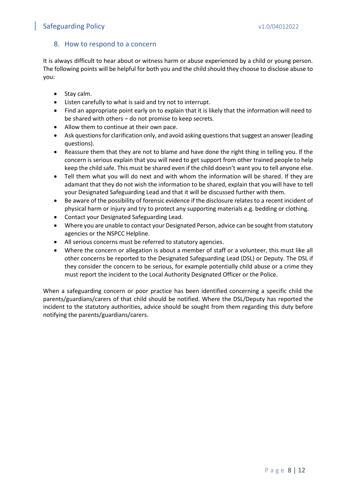## Safeguarding Policy values of the contract of the values of the values of the values of the values of the values of  $\alpha$

## <span id="page-7-0"></span>8. How to respond to a concern

It is always difficult to hear about or witness harm or abuse experienced by a child or young person. The following points will be helpful for both you and the child should they choose to disclose abuse to you:

- Stay calm.
- Listen carefully to what is said and try not to interrupt.
- Find an appropriate point early on to explain that it is likely that the information will need to be shared with others – do not promise to keep secrets.
- Allow them to continue at their own pace.
- Ask questions for clarification only, and avoid asking questions that suggest an answer (leading questions).
- Reassure them that they are not to blame and have done the right thing in telling you. If the concern is serious explain that you will need to get support from other trained people to help keep the child safe. This must be shared even if the child doesn't want you to tell anyone else.
- Tell them what you will do next and with whom the information will be shared. If they are adamant that they do not wish the information to be shared, explain that you will have to tell your Designated Safeguarding Lead and that it will be discussed further with them.
- Be aware of the possibility of forensic evidence if the disclosure relates to a recent incident of physical harm or injury and try to protect any supporting materials e.g. bedding or clothing.
- Contact your Designated Safeguarding Lead.
- Where you are unable to contact your Designated Person, advice can be sought from statutory agencies or the NSPCC Helpline.
- All serious concerns must be referred to statutory agencies.
- Where the concern or allegation is about a member of staff or a volunteer, this must like all other concerns be reported to the Designated Safeguarding Lead (DSL) or Deputy. The DSL if they consider the concern to be serious, for example potentially child abuse or a crime they must report the incident to the Local Authority Designated Officer or the Police.

When a safeguarding concern or poor practice has been identified concerning a specific child the parents/guardians/carers of that child should be notified. Where the DSL/Deputy has reported the incident to the statutory authorities, advice should be sought from them regarding this duty before notifying the parents/guardians/carers.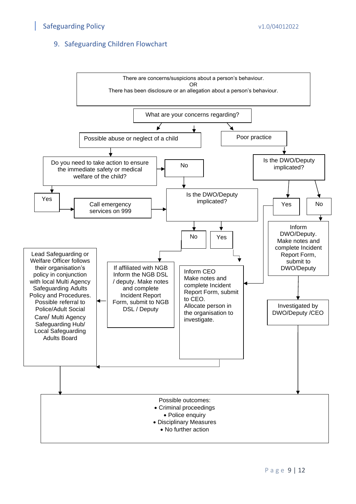## <span id="page-8-0"></span>9. Safeguarding Children Flowchart

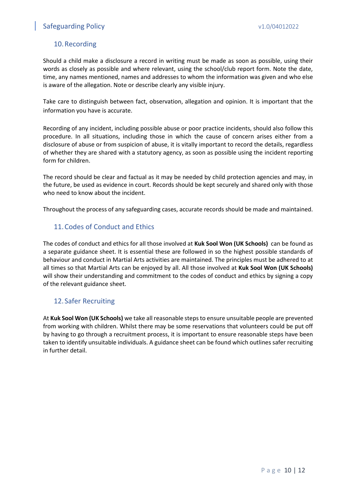## <span id="page-9-0"></span>10.Recording

Should a child make a disclosure a record in writing must be made as soon as possible, using their words as closely as possible and where relevant, using the school/club report form. Note the date, time, any names mentioned, names and addresses to whom the information was given and who else is aware of the allegation. Note or describe clearly any visible injury.

Take care to distinguish between fact, observation, allegation and opinion. It is important that the information you have is accurate.

Recording of any incident, including possible abuse or poor practice incidents, should also follow this procedure. In all situations, including those in which the cause of concern arises either from a disclosure of abuse or from suspicion of abuse, it is vitally important to record the details, regardless of whether they are shared with a statutory agency, as soon as possible using the incident reporting form for children.

The record should be clear and factual as it may be needed by child protection agencies and may, in the future, be used as evidence in court. Records should be kept securely and shared only with those who need to know about the incident.

Throughout the process of any safeguarding cases, accurate records should be made and maintained.

## <span id="page-9-1"></span>11.Codes of Conduct and Ethics

The codes of conduct and ethics for all those involved at **Kuk Sool Won (UK Schools)** can be found as a separate guidance sheet. It is essential these are followed in so the highest possible standards of behaviour and conduct in Martial Arts activities are maintained. The principles must be adhered to at all times so that Martial Arts can be enjoyed by all. All those involved at **Kuk Sool Won (UK Schools)** will show their understanding and commitment to the codes of conduct and ethics by signing a copy of the relevant guidance sheet.

## <span id="page-9-2"></span>12. Safer Recruiting

At **Kuk Sool Won (UK Schools)** we take all reasonable steps to ensure unsuitable people are prevented from working with children. Whilst there may be some reservations that volunteers could be put off by having to go through a recruitment process, it is important to ensure reasonable steps have been taken to identify unsuitable individuals. A guidance sheet can be found which outlines safer recruiting in further detail.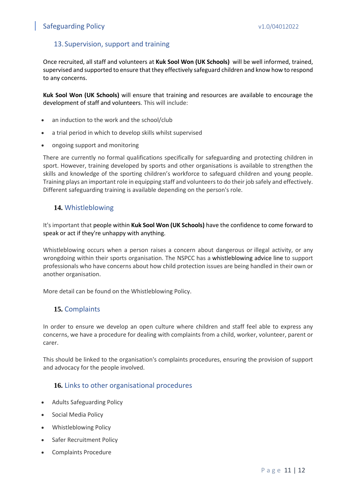## Safeguarding Policy values of the contract of the values of the values of the values of the values of the values of the values of the values of the values of the values of the values of the values of the values of the valu

## <span id="page-10-0"></span>13. Supervision, support and training

Once recruited, all staff and volunteers at **Kuk Sool Won (UK Schools)** will be well informed, trained, supervised and supported to ensure that they effectively safeguard children and know how to respond to any concerns.

**Kuk Sool Won (UK Schools)** will ensure that training and resources are available to encourage the development of staff and volunteers. This will include:

- an induction to the work and the school/club
- a trial period in which to develop skills whilst supervised
- ongoing support and monitoring

There are currently no formal qualifications specifically for safeguarding and protecting children in sport. However, training developed by sports and other organisations is available to strengthen the skills and knowledge of the sporting children's workforce to safeguard children and young people. Training plays an important role in equipping staff and volunteers to do their job safely and effectively. Different safeguarding training is available depending on the person's role.

#### <span id="page-10-1"></span>**14.** Whistleblowing

It's important that people within **Kuk Sool Won (UK Schools)** have the confidence to come forward to speak or act if they're unhappy with anything.

Whistleblowing occurs when a person raises a concern about dangerous or illegal activity, or any wrongdoing within their sports organisation. The NSPCC has a [whistleblowing](https://www.nspcc.org.uk/what-you-can-do/report-abuse/dedicated-helplines/whistleblowing-advice-line/) advice line to support professionals who have concerns about how child protection issues are being handled in their own or another organisation.

More detail can be found on the Whistleblowing Policy.

## <span id="page-10-2"></span>**15.** Complaints

In order to ensure we develop an open culture where children and staff feel able to express any concerns, we have a procedure for dealing with complaints from a child, worker, volunteer, parent or carer.

This should be linked to the organisation's complaints procedures, ensuring the provision of support and advocacy for the people involved.

## <span id="page-10-3"></span>**16.** Links to other organisational procedures

- Adults Safeguarding Policy
- Social Media Policy
- Whistleblowing Policy
- Safer Recruitment Policy
- Complaints Procedure